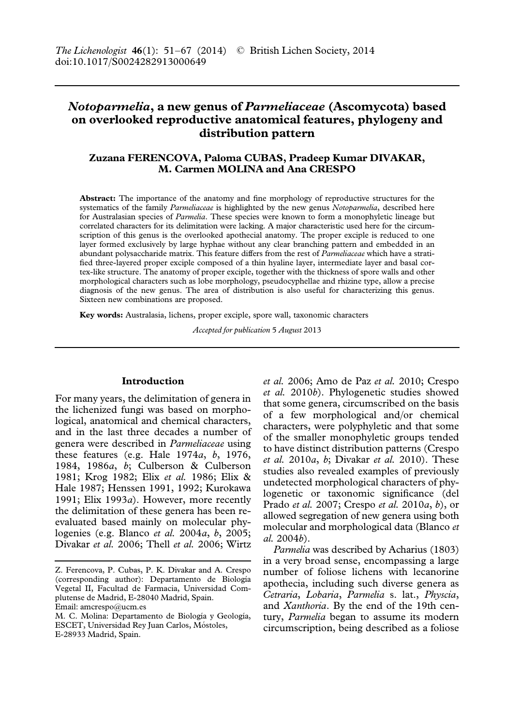# Notoparmelia, a new genus of Parmeliaceae (Ascomycota) based on overlooked reproductive anatomical features, phylogeny and distribution pattern

## Zuzana FERENCOVA, Paloma CUBAS, Pradeep Kumar DIVAKAR, M. Carmen MOLINA and Ana CRESPO

Abstract: The importance of the anatomy and fine morphology of reproductive structures for the systematics of the family *Parmeliaceae* is highlighted by the new genus *Notoparmelia*, described here for Australasian species of Parmelia. These species were known to form a monophyletic lineage but correlated characters for its delimitation were lacking. A major characteristic used here for the circumscription of this genus is the overlooked apothecial anatomy. The proper exciple is reduced to one layer formed exclusively by large hyphae without any clear branching pattern and embedded in an abundant polysaccharide matrix. This feature differs from the rest of Parmeliaceae which have a stratified three-layered proper exciple composed of a thin hyaline layer, intermediate layer and basal cortex-like structure. The anatomy of proper exciple, together with the thickness of spore walls and other morphological characters such as lobe morphology, pseudocyphellae and rhizine type, allow a precise diagnosis of the new genus. The area of distribution is also useful for characterizing this genus. Sixteen new combinations are proposed.

Key words: Australasia, lichens, proper exciple, spore wall, taxonomic characters

Accepted for publication 5 August 2013

### Introduction

For many years, the delimitation of genera in the lichenized fungi was based on morphological, anatomical and chemical characters, and in the last three decades a number of genera were described in Parmeliaceae using these features (e.g. Hale 1974a, b, 1976, 1984, 1986a, b; Culberson & Culberson 1981; Krog 1982; Elix et al. 1986; Elix & Hale 1987; Henssen 1991, 1992; Kurokawa 1991; Elix 1993a). However, more recently the delimitation of these genera has been reevaluated based mainly on molecular phylogenies (e.g. Blanco et al. 2004a, b, 2005; Divakar et al. 2006; Thell et al. 2006; Wirtz et al. 2006; Amo de Paz et al. 2010; Crespo et al. 2010b). Phylogenetic studies showed that some genera, circumscribed on the basis of a few morphological and/or chemical characters, were polyphyletic and that some of the smaller monophyletic groups tended to have distinct distribution patterns (Crespo et al.  $2010a$ , b; Divakar et al.  $2010$ ). These studies also revealed examples of previously undetected morphological characters of phylogenetic or taxonomic significance (del Prado et al. 2007; Crespo et al. 2010a, b), or allowed segregation of new genera using both molecular and morphological data (Blanco et al. 2004b).

Parmelia was described by Acharius (1803) in a very broad sense, encompassing a large number of foliose lichens with lecanorine apothecia, including such diverse genera as Cetraria, Lobaria, Parmelia s. lat., Physcia, and Xanthoria. By the end of the 19th century, Parmelia began to assume its modern circumscription, being described as a foliose

Z. Ferencova, P. Cubas, P. K. Divakar and A. Crespo (corresponding author): Departamento de Biología Vegetal II, Facultad de Farmacia, Universidad Complutense de Madrid, E-28040 Madrid, Spain. Email: amcrespo@ucm.es

M. C. Molina: Departamento de Biología y Geología, ESCET, Universidad Rey Juan Carlos, Móstoles, E-28933 Madrid, Spain.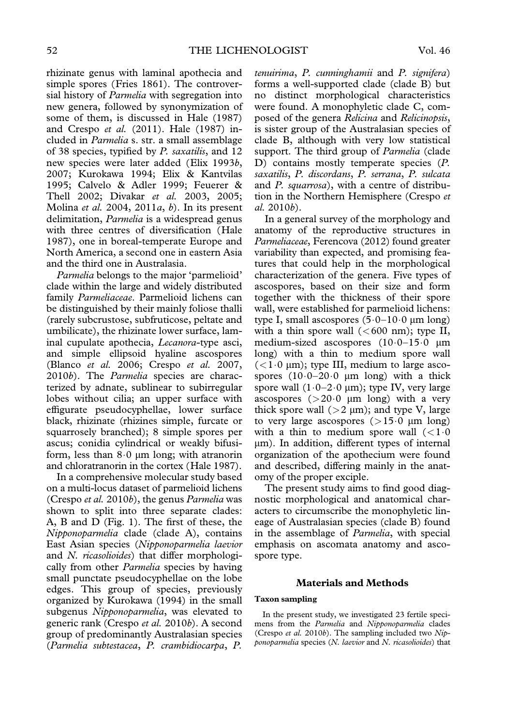rhizinate genus with laminal apothecia and simple spores (Fries 1861). The controversial history of Parmelia with segregation into new genera, followed by synonymization of some of them, is discussed in Hale (1987) and Crespo et al. (2011). Hale (1987) included in Parmelia s. str. a small assemblage of 38 species, typified by P. saxatilis, and 12 new species were later added (Elix 1993b, 2007; Kurokawa 1994; Elix & Kantvilas 1995; Calvelo & Adler 1999; Feuerer & Thell 2002; Divakar et al. 2003, 2005; Molina et al. 2004, 2011a, b). In its present delimitation, Parmelia is a widespread genus with three centres of diversification (Hale 1987), one in boreal-temperate Europe and North America, a second one in eastern Asia and the third one in Australasia.

Parmelia belongs to the major 'parmelioid' clade within the large and widely distributed family Parmeliaceae. Parmelioid lichens can be distinguished by their mainly foliose thalli (rarely subcrustose, subfruticose, peltate and umbilicate), the rhizinate lower surface, laminal cupulate apothecia, Lecanora-type asci, and simple ellipsoid hyaline ascospores (Blanco et al. 2006; Crespo et al. 2007, 2010b). The Parmelia species are characterized by adnate, sublinear to subirregular lobes without cilia; an upper surface with effigurate pseudocyphellae, lower surface black, rhizinate (rhizines simple, furcate or squarrosely branched); 8 simple spores per ascus; conidia cylindrical or weakly bifusiform, less than  $8.0 \ \mu m$  long; with atranorin and chloratranorin in the cortex (Hale 1987).

In a comprehensive molecular study based on a multi-locus dataset of parmelioid lichens (Crespo et al. 2010b), the genus Parmelia was shown to split into three separate clades: A, B and D (Fig. 1). The first of these, the Nipponoparmelia clade (clade A), contains East Asian species (Nipponoparmelia laevior and N. ricasolioides) that differ morphologically from other *Parmelia* species by having small punctate pseudocyphellae on the lobe edges. This group of species, previously organized by Kurokawa (1994) in the small subgenus Nipponoparmelia, was elevated to generic rank (Crespo et al. 2010b). A second group of predominantly Australasian species (Parmelia subtestacea, P. crambidiocarpa, P.

tenuirima, P. cunninghamii and P. signifera) forms a well-supported clade (clade B) but no distinct morphological characteristics were found. A monophyletic clade C, composed of the genera Relicina and Relicinopsis, is sister group of the Australasian species of clade B, although with very low statistical support. The third group of *Parmelia* (clade D) contains mostly temperate species (P. saxatilis, P. discordans, P. serrana, P. sulcata and P. squarrosa), with a centre of distribution in the Northern Hemisphere (Crespo et al. 2010b).

In a general survey of the morphology and anatomy of the reproductive structures in Parmeliaceae, Ferencova (2012) found greater variability than expected, and promising features that could help in the morphological characterization of the genera. Five types of ascospores, based on their size and form together with the thickness of their spore wall, were established for parmelioid lichens: type I, small ascospores  $(5.0-10.0 \,\mu m \log)$ with a thin spore wall  $(<600$  nm); type II, medium-sized ascospores (10.0–15.0 µm long) with a thin to medium spore wall  $(< 1.0 \text{ }\mu\text{m})$ ; type III, medium to large ascospores  $(10.0-20.0 \mu m \text{ long})$  with a thick spore wall  $(1 \cdot 0 - 2 \cdot 0 \mu m)$ ; type IV, very large ascospores ( $>$ 20 $\cdot$ 0  $\mu$ m long) with a very thick spore wall ( $>$ 2  $\mu$ m); and type V, large to very large ascospores  $(>15.0 \mu m \text{ long})$ with a thin to medium spore wall  $(<1.0$ µm). In addition, different types of internal organization of the apothecium were found and described, differing mainly in the anatomy of the proper exciple.

The present study aims to find good diagnostic morphological and anatomical characters to circumscribe the monophyletic lineage of Australasian species (clade B) found in the assemblage of Parmelia, with special emphasis on ascomata anatomy and ascospore type.

#### Materials and Methods

#### Taxon sampling

In the present study, we investigated 23 fertile specimens from the Parmelia and Nipponoparmelia clades (Crespo et al. 2010b). The sampling included two Nipponoparmelia species (N. laevior and N. ricasolioides) that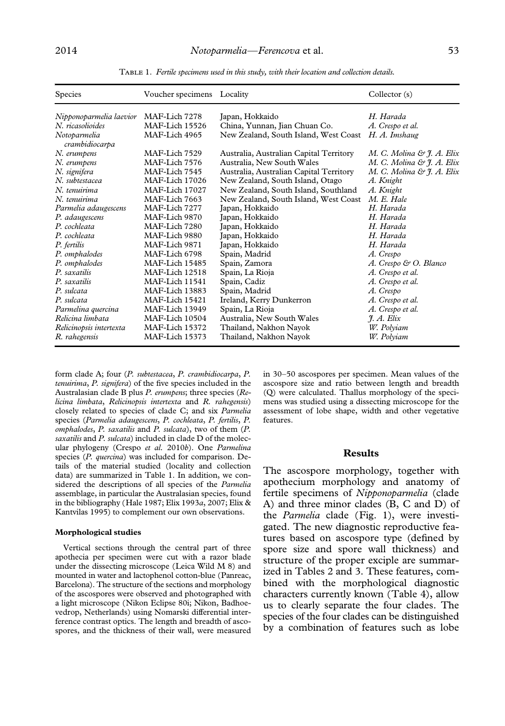| Species                        | Voucher specimens Locality |                                                     | Collector (s)             |
|--------------------------------|----------------------------|-----------------------------------------------------|---------------------------|
| Nipponoparmelia laevior        | MAF-Lich 7278              | Japan, Hokkaido                                     | H. Harada                 |
| N. ricasolioides               | MAF-Lich 15526             | China, Yunnan, Jian Chuan Co.                       | A. Crespo et al.          |
| Notoparmelia<br>crambidiocarpa | MAF-Lich 4965              | New Zealand, South Island, West Coast H. A. Imshaug |                           |
| N. erumpens                    | MAF-Lich 7529              | Australia, Australian Capital Territory             | M. C. Molina & J. A. Elix |
| N. erumpens                    | MAF-Lich 7576              | Australia, New South Wales                          | M. C. Molina & J. A. Elix |
| N. signifera                   | MAF-Lich 7545              | Australia, Australian Capital Territory             | M. C. Molina & J. A. Elix |
| N. subtestacea                 | MAF-Lich 17026             | New Zealand, South Island, Otago                    | A. Knight                 |
| N. tenuirima                   | MAF-Lich 17027             | New Zealand, South Island, Southland                | A. Knight                 |
| N. tenuirima                   | MAF-Lich 7663              | New Zealand, South Island, West Coast               | M. E. Hale                |
| Parmelia adaugescens           | MAF-Lich 7277              | Japan, Hokkaido                                     | H. Harada                 |
| P. adaugescens                 | MAF-Lich 9870              | Japan, Hokkaido                                     | H. Harada                 |
| P. cochleata                   | MAF-Lich 7280              | Japan, Hokkaido                                     | H. Harada                 |
| P. cochleata                   | MAF-Lich 9880              | Japan, Hokkaido                                     | H. Harada                 |
| P. fertilis                    | MAF-Lich 9871              | Japan, Hokkaido                                     | H. Harada                 |
| P. omphalodes                  | MAF-Lich 6798              | Spain, Madrid                                       | A. Crespo                 |
| P. omphalodes                  | MAF-Lich 15485             | Spain, Zamora                                       | A. Crespo & O. Blanco     |
| P. saxatilis                   | MAF-Lich 12518             | Spain, La Rioja                                     | A. Crespo et al.          |
| P. saxatilis                   | MAF-Lich 11541             | Spain, Cadiz                                        | A. Crespo et al.          |
| P. sulcata                     | MAF-Lich 13883             | Spain, Madrid                                       | A. Crespo                 |
| P. sulcata                     | MAF-Lich 15421             | Ireland, Kerry Dunkerron                            | A. Crespo et al.          |
| Parmelina quercina             | MAF-Lich 13949             | Spain, La Rioja                                     | A. Crespo et al.          |
| Relicina limbata               | MAF-Lich 10504             | Australia, New South Wales                          | $f. A. Elix$              |
| Relicinopsis intertexta        | MAF-Lich 15372             | Thailand, Nakhon Nayok                              | W. Polyiam                |
| R. rahegensis                  | MAF-Lich 15373             | Thailand, Nakhon Nayok                              | W. Polyiam                |

TABLE 1. Fertile specimens used in this study, with their location and collection details.

form clade A; four (P. subtestacea, P. crambidiocarpa, P. tenuirima, P. signifera) of the five species included in the Australasian clade B plus P. erumpens; three species (Relicina limbata, Relicinopsis intertexta and R. rahegensis) closely related to species of clade C; and six Parmelia species (Parmelia adaugescens, P. cochleata, P. fertilis, P. omphalodes, P. saxatilis and P. sulcata), two of them (P. saxatilis and P. sulcata) included in clade D of the molecular phylogeny (Crespo et al. 2010b). One Parmelina species (P. quercina) was included for comparison. Details of the material studied (locality and collection data) are summarized in Table 1. In addition, we considered the descriptions of all species of the Parmelia assemblage, in particular the Australasian species, found in the bibliography (Hale 1987; Elix 1993a, 2007; Elix & Kantvilas 1995) to complement our own observations.

#### Morphological studies

Vertical sections through the central part of three apothecia per specimen were cut with a razor blade under the dissecting microscope (Leica Wild M 8) and mounted in water and lactophenol cotton-blue (Panreac, Barcelona). The structure of the sections and morphology of the ascospores were observed and photographed with a light microscope (Nikon Eclipse 80i; Nikon, Badhoevedrop, Netherlands) using Nomarski differential interference contrast optics. The length and breadth of ascospores, and the thickness of their wall, were measured in 30–50 ascospores per specimen. Mean values of the ascospore size and ratio between length and breadth (Q) were calculated. Thallus morphology of the specimens was studied using a dissecting microscope for the assessment of lobe shape, width and other vegetative features.

### Results

The ascospore morphology, together with apothecium morphology and anatomy of fertile specimens of Nipponoparmelia (clade A) and three minor clades (B, C and D) of the Parmelia clade (Fig. 1), were investigated. The new diagnostic reproductive features based on ascospore type (defined by spore size and spore wall thickness) and structure of the proper exciple are summarized in Tables 2 and 3. These features, combined with the morphological diagnostic characters currently known (Table 4), allow us to clearly separate the four clades. The species of the four clades can be distinguished by a combination of features such as lobe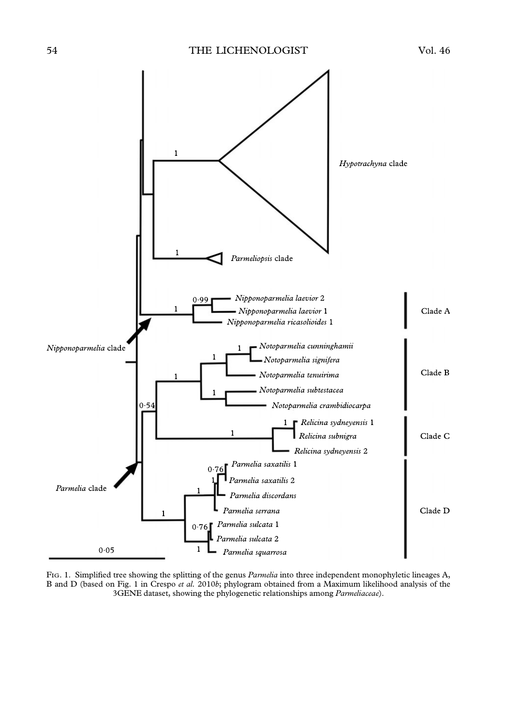

FIG. 1. Simplified tree showing the splitting of the genus Parmelia into three independent monophyletic lineages A, B and D (based on Fig. 1 in Crespo et al. 2010b; phylogram obtained from a Maximum likelihood analysis of the 3GENE dataset, showing the phylogenetic relationships among Parmeliaceae).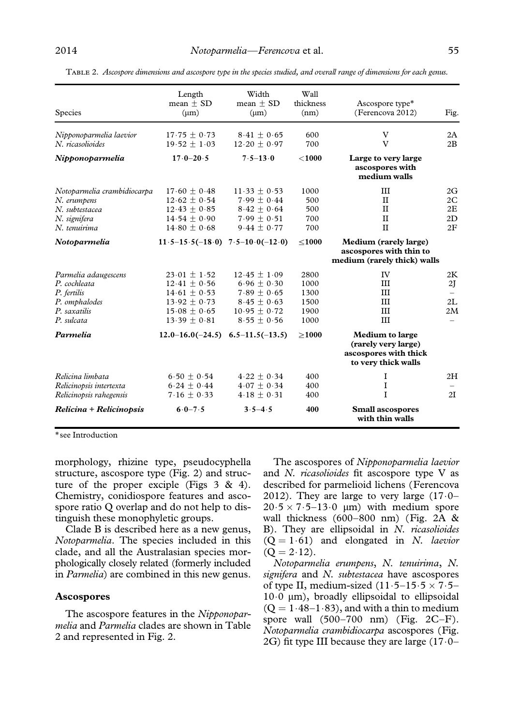| Species                                                                                            | Length<br>$mean + SD$<br>$(\mu m)$                                                                                   | Width<br>$mean + SD$<br>$(\mu m)$                                                                            | Wall<br>thickness<br>(nm)                    | Ascospore type*<br>(Ferencova 2012)                                                           | Fig.                       |
|----------------------------------------------------------------------------------------------------|----------------------------------------------------------------------------------------------------------------------|--------------------------------------------------------------------------------------------------------------|----------------------------------------------|-----------------------------------------------------------------------------------------------|----------------------------|
| Nipponoparmelia laevior<br>N. ricasolioides                                                        | $17.75 + 0.73$<br>$19.52 + 1.03$                                                                                     | $8.41 + 0.65$<br>$12.20 + 0.97$                                                                              | 600<br>700                                   | V<br>$\mathbf{V}$                                                                             | 2A<br>2B                   |
| Nipponoparmelia                                                                                    | $17.0 - 20.5$                                                                                                        | $7.5 - 13.0$                                                                                                 | $<$ 1000                                     | Large to very large<br>ascospores with<br>medium walls                                        |                            |
| Notoparmelia crambidiocarpa<br>N. erumpens<br>N. subtestacea<br>N. signifera<br>N. tenuirima       | $17.60 \pm 0.48$<br>$12.62 \pm 0.54$<br>$12.43 \pm 0.85$<br>$14.54 + 0.90$<br>$14.80 \pm 0.68$                       | $11.33 \pm 0.53$<br>$7.99 \pm 0.44$<br>$8.42 \pm 0.64$<br>$7.99 + 0.51$<br>$9.44 \pm 0.77$                   | 1000<br>500<br>500<br>700<br>700             | III<br>$_{\rm II}$<br>$_{\rm II}$<br>II<br>II                                                 | 2G<br>2C<br>2E<br>2D<br>2F |
| Notoparmelia                                                                                       | $11.5-15.5(-18.0)$ $7.5-10.0(-12.0)$                                                                                 |                                                                                                              | $<$ 1000                                     | Medium (rarely large)<br>ascospores with thin to<br>medium (rarely thick) walls               |                            |
| Parmelia adaugescens<br>P. cochleata<br>P. fertilis<br>P. omphalodes<br>P. saxatilis<br>P. sulcata | $23.01 \pm 1.52$<br>$12.41 \pm 0.56$<br>$14.61 \pm 0.53$<br>$13.92 \pm 0.73$<br>$15.08 \pm 0.65$<br>$13.39 \pm 0.81$ | $12.45 + 1.09$<br>$6.96 + 0.30$<br>$7.89 \pm 0.65$<br>$8.45 \pm 0.63$<br>$10.95 \pm 0.72$<br>$8.55 \pm 0.56$ | 2800<br>1000<br>1300<br>1500<br>1900<br>1000 | IV<br>Ш<br>Ш<br>III<br>III<br>III                                                             | 2K<br>2J<br>2L<br>2M       |
| Parmelia                                                                                           | $12.0-16.0(-24.5)$ 6.5-11.5(-13.5)                                                                                   |                                                                                                              | >1000                                        | <b>Medium</b> to large<br>(rarely very large)<br>ascospores with thick<br>to very thick walls |                            |
| Relicina limbata<br>Relicinopsis intertexta<br>Relicinopsis rahegensis                             | $6.50 \pm 0.54$<br>$6.24 \pm 0.44$<br>$7.16 \pm 0.33$                                                                | $4.22 + 0.34$<br>$4.07 \pm 0.34$<br>$4.18 \pm 0.31$                                                          | 400<br>400<br>400                            | 1<br>I<br>I                                                                                   | 2H<br>2I                   |
| $Relicina + Relicinopsis$                                                                          | $6.0 - 7.5$                                                                                                          | $3.5 - 4.5$                                                                                                  | 400                                          | <b>Small ascospores</b><br>with thin walls                                                    |                            |

Table 2. Ascospore dimensions and ascospore type in the species studied, and overall range of dimensions for each genus.

\*see Introduction

morphology, rhizine type, pseudocyphella structure, ascospore type (Fig. 2) and structure of the proper exciple (Figs  $3 \& 4$ ). Chemistry, conidiospore features and ascospore ratio Q overlap and do not help to distinguish these monophyletic groups.

Clade B is described here as a new genus, Notoparmelia. The species included in this clade, and all the Australasian species morphologically closely related (formerly included in Parmelia) are combined in this new genus.

#### Ascospores

The ascospore features in the Nipponoparmelia and Parmelia clades are shown in Table 2 and represented in Fig. 2.

The ascospores of Nipponoparmelia laevior and N. ricasolioides fit ascospore type V as described for parmelioid lichens (Ferencova 2012). They are large to very large  $(17.0 20.5 \times 7.5 - 13.0 \mu m$  with medium spore wall thickness (600–800 nm) (Fig. 2A & B). They are ellipsoidal in N. ricasolioides  $(Q = 1.61)$  and elongated in N. laevior  $(Q = 2.12).$ 

Notoparmelia erumpens, N. tenuirima, N. signifera and N. subtestacea have ascospores of type II, medium-sized  $(11.5-15.5 \times 7.5-1)$ 10-0 mm), broadly ellipsoidal to ellipsoidal  $(Q = 1.48 - 1.83)$ , and with a thin to medium spore wall (500–700 nm) (Fig. 2C–F). Notoparmelia crambidiocarpa ascospores (Fig. 2G) fit type III because they are large  $(17.0-$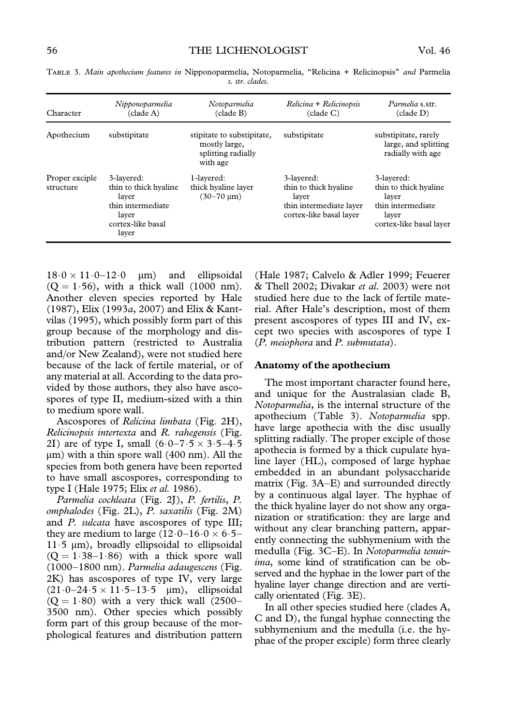| Character                   | Nipponoparmelia<br>(clade A)                                                                             | Notoparmelia<br>(clade B)                                                     | Relicina + Relicinopsis<br>clade C)                                                                | <i>Parmelia</i> s.str.<br>clade D)                                                                    |
|-----------------------------|----------------------------------------------------------------------------------------------------------|-------------------------------------------------------------------------------|----------------------------------------------------------------------------------------------------|-------------------------------------------------------------------------------------------------------|
| Apothecium                  | substipitate                                                                                             | stipitate to substipitate,<br>mostly large,<br>splitting radially<br>with age | substipitate                                                                                       | substipitate, rarely<br>large, and splitting<br>radially with age                                     |
| Proper exciple<br>structure | 3-layered:<br>thin to thick hyaline<br>laver<br>thin intermediate<br>laver<br>cortex-like basal<br>layer | 1-layered:<br>thick hyaline layer<br>$(30-70 \text{ }\mu\text{m})$            | 3-layered:<br>thin to thick hyaline<br>laver<br>thin intermediate layer<br>cortex-like basal layer | 3-layered:<br>thin to thick hyaline<br>laver<br>thin intermediate<br>layer<br>cortex-like basal layer |

TABLE 3. Main apothecium features in Nipponoparmelia, Notoparmelia, "Relicina + Relicinopsis" and Parmelia s. str. clades.

 $18.0 \times 11.0 - 12.0$  µm) and ellipsoidal  $(Q = 1.56)$ , with a thick wall (1000 nm). Another eleven species reported by Hale (1987), Elix (1993a, 2007) and Elix & Kantvilas (1995), which possibly form part of this group because of the morphology and distribution pattern (restricted to Australia and/or New Zealand), were not studied here because of the lack of fertile material, or of any material at all. According to the data provided by those authors, they also have ascospores of type II, medium-sized with a thin to medium spore wall.

Ascospores of Relicina limbata (Fig. 2H), Relicinopsis intertexta and R. rahegensis (Fig. 2I) are of type I, small  $(6.0-7.5 \times 3.5-4.5)$  $\mu$ m) with a thin spore wall (400 nm). All the species from both genera have been reported to have small ascospores, corresponding to type I (Hale 1975; Elix et al. 1986).

Parmelia cochleata (Fig. 2J), P. fertilis, P. omphalodes (Fig. 2L), P. saxatilis (Fig. 2M) and P. sulcata have ascospores of type III; they are medium to large  $(12.0-16.0 \times 6.5-1)$ 11-5 mm), broadly ellipsoidal to ellipsoidal  $(Q = 1.38 - 1.86)$  with a thick spore wall (1000–1800 nm). Parmelia adaugescens (Fig. 2K) has ascospores of type IV, very large  $(21.0-24.5 \times 11.5-13.5 \mu m)$ , ellipsoidal  $(Q = 1.80)$  with a very thick wall  $(2500 -$ 3500 nm). Other species which possibly form part of this group because of the morphological features and distribution pattern

(Hale 1987; Calvelo & Adler 1999; Feuerer & Thell 2002; Divakar et al. 2003) were not studied here due to the lack of fertile material. After Hale's description, most of them present ascospores of types III and IV, except two species with ascospores of type I (P. meiophora and P. submutata).

### Anatomy of the apothecium

The most important character found here, and unique for the Australasian clade B, Notoparmelia, is the internal structure of the apothecium (Table 3). Notoparmelia spp. have large apothecia with the disc usually splitting radially. The proper exciple of those apothecia is formed by a thick cupulate hyaline layer (HL), composed of large hyphae embedded in an abundant polysaccharide matrix (Fig. 3A–E) and surrounded directly by a continuous algal layer. The hyphae of the thick hyaline layer do not show any organization or stratification: they are large and without any clear branching pattern, apparently connecting the subhymenium with the medulla (Fig. 3C–E). In Notoparmelia tenuirima, some kind of stratification can be observed and the hyphae in the lower part of the hyaline layer change direction and are vertically orientated (Fig. 3E).

In all other species studied here (clades A, C and D), the fungal hyphae connecting the subhymenium and the medulla (i.e. the hyphae of the proper exciple) form three clearly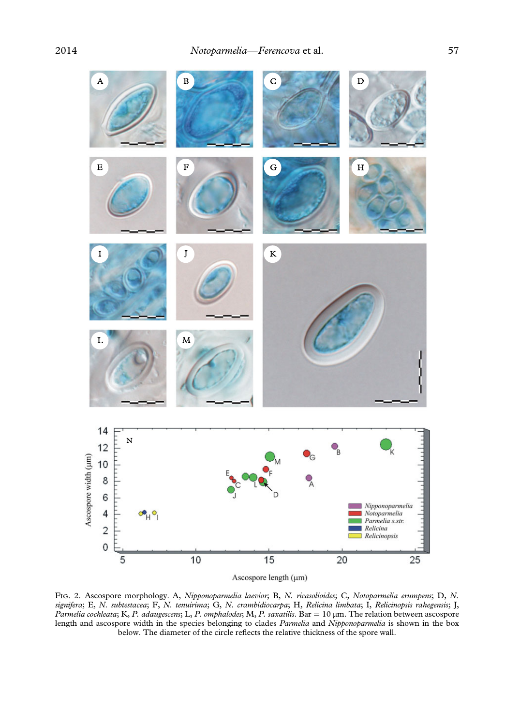

Ascospore length (µm)

Fig. 2. Ascospore morphology. A, Nipponoparmelia laevior; B, N. ricasolioides; C, Notoparmelia erumpens; D, N. signifera; E, N. subtestacea; F, N. tenuirima; G, N. crambidiocarpa; H, Relicina limbata; I, Relicinopsis rahegensis; J, Parmelia cochleata; K, P. adaugescens; L, P. omphalodes; M, P. saxatilis. Bar = 10 µm. The relation between ascospore length and ascospore width in the species belonging to clades *Parmelia* and *Nipponoparmelia* is shown in the box below. The diameter of the circle reflects the relative thickness of the spore wall.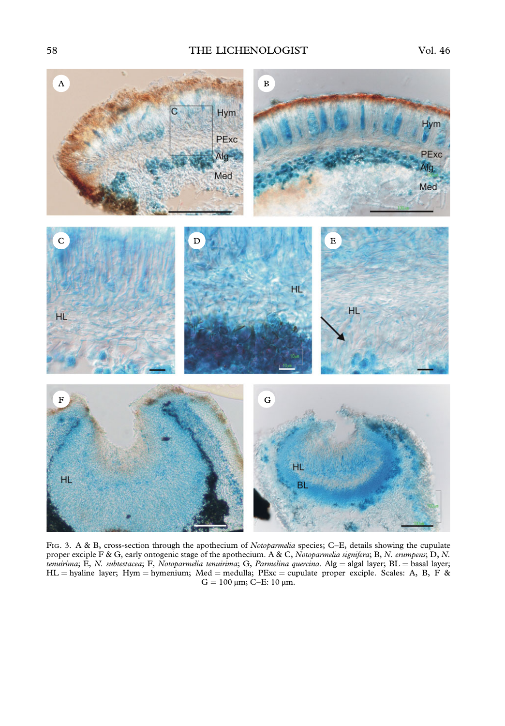

FIG. 3. A & B, cross-section through the apothecium of Notoparmelia species; C–E, details showing the cupulate proper exciple F & G, early ontogenic stage of the apothecium. A & C, Notoparmelia signifera; B, N. erumpens; D, N. tenuirima; E, N. subtestacea; F, Notoparmelia tenuirima; G, Parmelina quercina. Alg = algal layer; BL = basal layer;  $HL = hyaline layer; Hym = hymenium; Med = mediumlaj, PExc = cupulate proper exciple. Scales: A, B, F & HLL = hyaline layer; Hym = hymenium; Med = mediumlaj, PExc = cupulate proper exciple. Scales: A, B, F & HLL = hystine layer; Hym = hymenium; Med = mediumlaj, PExc = cupulate project.$  $G = 100 \mu m$ ; C–E: 10  $\mu m$ .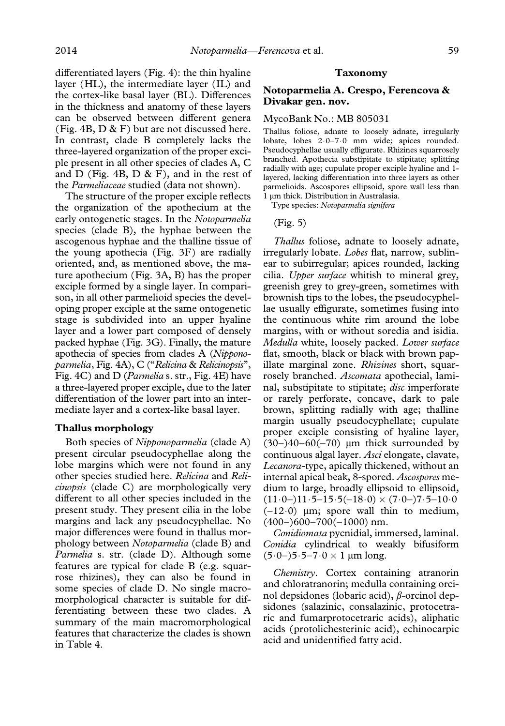differentiated layers (Fig. 4): the thin hyaline layer (HL), the intermediate layer (IL) and the cortex-like basal layer (BL). Differences in the thickness and anatomy of these layers can be observed between different genera (Fig. 4B,  $D \& F$ ) but are not discussed here. In contrast, clade B completely lacks the three-layered organization of the proper exciple present in all other species of clades A, C and D (Fig. 4B, D  $\&$  F), and in the rest of the Parmeliaceae studied (data not shown).

The structure of the proper exciple reflects the organization of the apothecium at the early ontogenetic stages. In the Notoparmelia species (clade B), the hyphae between the ascogenous hyphae and the thalline tissue of the young apothecia (Fig. 3F) are radially oriented, and, as mentioned above, the mature apothecium (Fig. 3A, B) has the proper exciple formed by a single layer. In comparison, in all other parmelioid species the developing proper exciple at the same ontogenetic stage is subdivided into an upper hyaline layer and a lower part composed of densely packed hyphae (Fig. 3G). Finally, the mature apothecia of species from clades A (Nipponoparmelia, Fig. 4A), C ("Relicina & Relicinopsis", Fig. 4C) and D (Parmelia s. str., Fig. 4E) have a three-layered proper exciple, due to the later differentiation of the lower part into an intermediate layer and a cortex-like basal layer.

### Thallus morphology

Both species of Nipponoparmelia (clade A) present circular pseudocyphellae along the lobe margins which were not found in any other species studied here. Relicina and Relicinopsis (clade C) are morphologically very different to all other species included in the present study. They present cilia in the lobe margins and lack any pseudocyphellae. No major differences were found in thallus morphology between Notoparmelia (clade B) and Parmelia s. str. (clade D). Although some features are typical for clade B (e.g. squarrose rhizines), they can also be found in some species of clade D. No single macromorphological character is suitable for differentiating between these two clades. A summary of the main macromorphological features that characterize the clades is shown in Table 4.

#### Taxonomy

### Notoparmelia A. Crespo, Ferencova & Divakar gen. nov.

### MycoBank No.: MB 805031

Thallus foliose, adnate to loosely adnate, irregularly lobate, lobes 2-0–7-0 mm wide; apices rounded. Pseudocyphellae usually effigurate. Rhizines squarrosely branched. Apothecia substipitate to stipitate; splitting radially with age; cupulate proper exciple hyaline and 1 layered, lacking differentiation into three layers as other parmelioids. Ascospores ellipsoid, spore wall less than 1 um thick. Distribution in Australasia.

Type species: Notoparmelia signifera

(Fig. 5)

Thallus foliose, adnate to loosely adnate, irregularly lobate. Lobes flat, narrow, sublinear to subirregular; apices rounded, lacking cilia. Upper surface whitish to mineral grey, greenish grey to grey-green, sometimes with brownish tips to the lobes, the pseudocyphellae usually effigurate, sometimes fusing into the continuous white rim around the lobe margins, with or without soredia and isidia. Medulla white, loosely packed. Lower surface flat, smooth, black or black with brown papillate marginal zone. Rhizines short, squarrosely branched. Ascomata apothecial, laminal, substipitate to stipitate; *disc* imperforate or rarely perforate, concave, dark to pale brown, splitting radially with age; thalline margin usually pseudocyphellate; cupulate proper exciple consisting of hyaline layer,  $(30-)40-60(-70)$  µm thick surrounded by continuous algal layer. Asci elongate, clavate, Lecanora-type, apically thickened, without an internal apical beak, 8-spored. Ascospores medium to large, broadly ellipsoid to ellipsoid,  $(11.0-)11.5-15.5(-18.0) \times (7.0-)7.5-10.0$  $(-12.0)$  µm; spore wall thin to medium,  $(400-)600-700(-1000)$  nm.

Conidiomata pycnidial, immersed, laminal. Conidia cylindrical to weakly bifusiform  $(5.0-)5.5-7.0 \times 1 \mu m$  long.

Chemistry. Cortex containing atranorin and chloratranorin; medulla containing orcinol depsidones (lobaric acid),  $\beta$ -orcinol depsidones (salazinic, consalazinic, protocetraric and fumarprotocetraric acids), aliphatic acids (protolichesterinic acid), echinocarpic acid and unidentified fatty acid.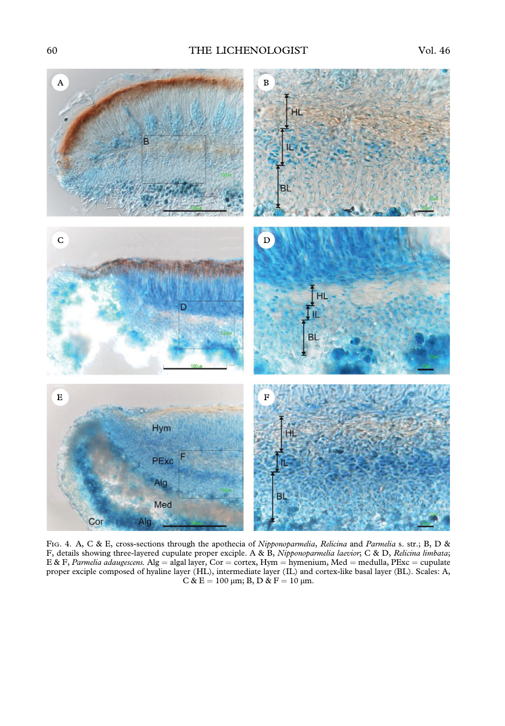

FIG. 4. A, C & E, cross-sections through the apothecia of Nipponoparmelia, Relicina and Parmelia s. str.; B, D & F, details showing three-layered cupulate proper exciple. A & B, Nipponoparmelia laevior; C & D, Relicina limbata; E & F, Parmelia adaugescens. Alg = algal layer, Cor = cortex, Hym = hymenium, Med = medulla, PExc = cupulate proper exciple composed of hyaline layer (HL), intermediate layer (IL) and cortex-like basal layer (BL). Scales: A, C & E = 100  $\mu$ m; B, D & F = 10  $\mu$ m.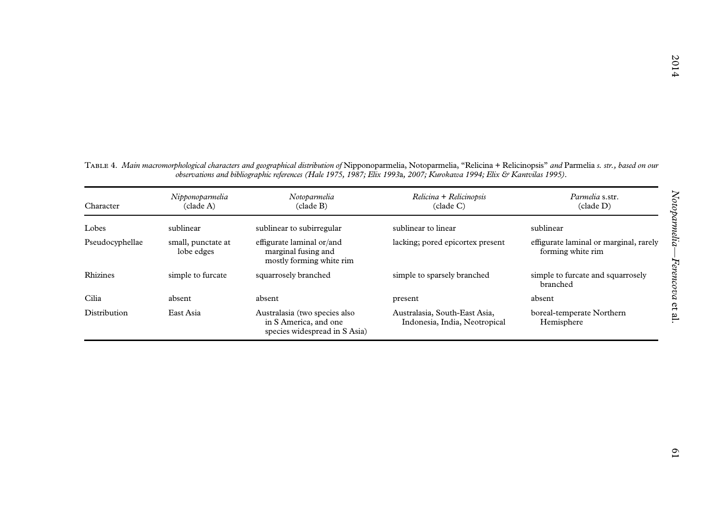| Character       | Nipponoparmelia<br>(clade A)     | Notoparmelia<br>clade B)                                                                | Relicina + Relicinopsis<br>(clade C)                           | Parmelia s.str.<br>(clade D)                                |
|-----------------|----------------------------------|-----------------------------------------------------------------------------------------|----------------------------------------------------------------|-------------------------------------------------------------|
| Lobes           | sublinear                        | sublinear to subirregular                                                               | sublinear to linear                                            | sublinear                                                   |
| Pseudocyphellae | small, punctate at<br>lobe edges | effigurate laminal or/and<br>marginal fusing and<br>mostly forming white rim            | lacking; pored epicortex present                               | effigurate laminal or marginal, rarely<br>forming white rim |
| <b>Rhizines</b> | simple to furcate                | squarrosely branched                                                                    | simple to sparsely branched                                    | simple to furcate and squarrosely<br>branched               |
| Cilia           | absent                           | absent                                                                                  | present                                                        | absent                                                      |
| Distribution    | East Asia                        | Australasia (two species also<br>in S America, and one<br>species widespread in S Asia) | Australasia, South-East Asia,<br>Indonesia, India, Neotropical | boreal-temperate Northern<br>Hemisphere                     |

TABLE 4. Main macromorphological characters and geographical distribution of Nipponoparmelia, Notoparmelia, "Relicina + Relicinopsis" and Parmelia s. str., based on our observations and bibliographic references (Hale 1975, 1987; Elix 1993<sup>a</sup>, 2007; Kurokawa 1994; Elix & Kantvilas 1995).

Notoparmelia

 $\top$ 

Ferencova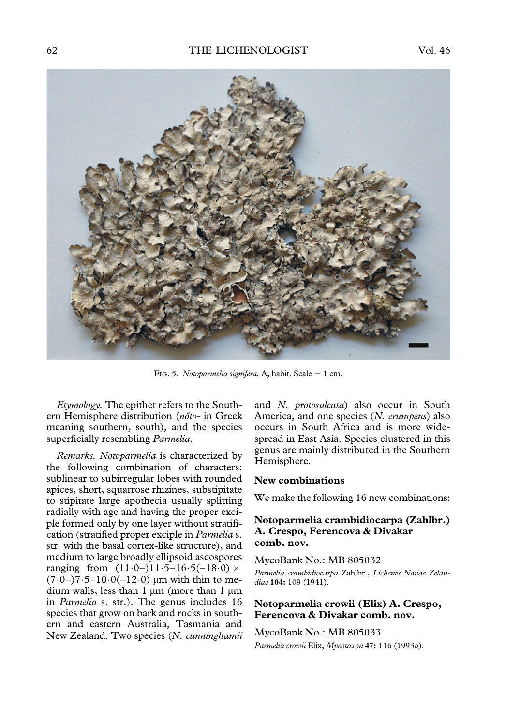

FIG. 5. Notoparmelia signifera. A, habit. Scale  $= 1$  cm.

Etymology. The epithet refers to the Southern Hemisphere distribution (noto- in Greek meaning southern, south), and the species superficially resembling Parmelia.

Remarks. Notoparmelia is characterized by the following combination of characters: sublinear to subirregular lobes with rounded apices, short, squarrose rhizines, substipitate to stipitate large apothecia usually splitting radially with age and having the proper exciple formed only by one layer without stratification (stratified proper exciple in Parmelia s. str. with the basal cortex-like structure), and medium to large broadly ellipsoid ascospores ranging from  $(11 \cdot 0 - )11 \cdot 5 - 16 \cdot 5(-18 \cdot 0) \times$  $(7.0-)7.5-10.0(-12.0)$  µm with thin to medium walls, less than  $1 \mu m$  (more than  $1 \mu m$ in Parmelia s. str.). The genus includes 16 species that grow on bark and rocks in southern and eastern Australia, Tasmania and New Zealand. Two species (N. cunninghamii) and N. protosulcata) also occur in South America, and one species (N. erumpens) also occurs in South Africa and is more widespread in East Asia. Species clustered in this genus are mainly distributed in the Southern Hemisphere.

### New combinations

We make the following 16 new combinations:

## Notoparmelia crambidiocarpa (Zahlbr.) A. Crespo, Ferencova & Divakar comb. nov.

### MycoBank No.: MB 805032

Parmelia crambidiocarpa Zahlbr., Lichenes Novae Zelandiae 104: 109 (1941).

### Notoparmelia crowii (Elix) A. Crespo, Ferencova & Divakar comb. nov.

MycoBank No.: MB 805033 Parmelia crowii Elix, Mycotaxon 47: 116 (1993a).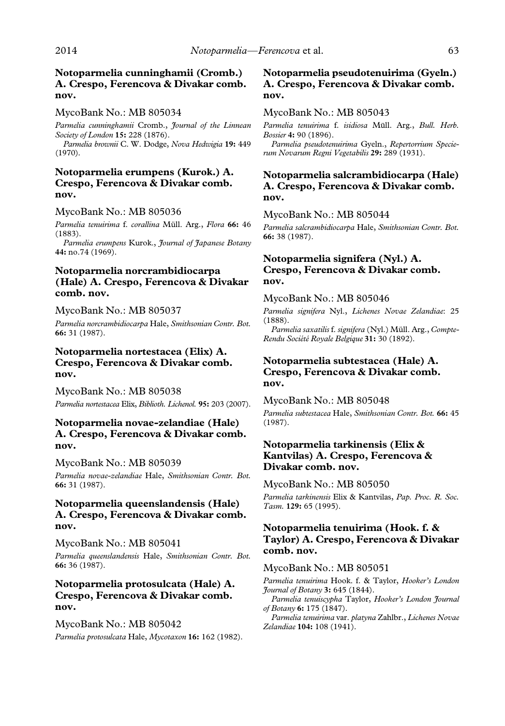### Notoparmelia cunninghamii (Cromb.) A. Crespo, Ferencova & Divakar comb. nov.

### MycoBank No.: MB 805034

Parmelia cunninghamii Cromb., Journal of the Linnean Society of London 15: 228 (1876).

Parmelia brownii C. W. Dodge, Nova Hedwigia 19: 449 (1970).

### Notoparmelia erumpens (Kurok.) A. Crespo, Ferencova & Divakar comb. nov

#### MycoBank No.: MB 805036

Parmelia tenuirima f. corallina Müll. Arg., Flora 66: 46 (1883).

Parmelia erumpens Kurok., Journal of Japanese Botany 44: no.74 (1969).

## Notoparmelia norcrambidiocarpa (Hale) A. Crespo, Ferencova & Divakar comb. nov.

#### MycoBank No.: MB 805037

Parmelia norcrambidiocarpa Hale, Smithsonian Contr. Bot. 66: 31 (1987).

### Notoparmelia nortestacea (Elix) A. Crespo, Ferencova & Divakar comb. nov.

#### MycoBank No.: MB 805038

Parmelia nortestacea Elix, Biblioth. Lichenol. 95: 203 (2007).

### Notoparmelia novae-zelandiae (Hale) A. Crespo, Ferencova & Divakar comb. nov.

#### MycoBank No.: MB 805039

Parmelia novae-zelandiae Hale, Smithsonian Contr. Bot. 66: 31 (1987).

### Notoparmelia queenslandensis (Hale) A. Crespo, Ferencova & Divakar comb. nov.

# MycoBank No.: MB 805041

Parmelia queenslandensis Hale, Smithsonian Contr. Bot. 66: 36 (1987).

### Notoparmelia protosulcata (Hale) A. Crespo, Ferencova & Divakar comb. nov.

MycoBank No.: MB 805042 Parmelia protosulcata Hale, Mycotaxon 16: 162 (1982).

### Notoparmelia pseudotenuirima (Gyeln.) A. Crespo, Ferencova & Divakar comb. nov.

#### MycoBank No.: MB 805043

Parmelia tenuirima f. isidiosa Müll. Arg., Bull. Herb. Bossier 4: 90 (1896).

Parmelia pseudotenuirima Gyeln., Repertorrium Specierum Novarum Regni Vegetabilis 29: 289 (1931).

### Notoparmelia salcrambidiocarpa (Hale) A. Crespo, Ferencova & Divakar comb. nov.

#### MycoBank No.: MB 805044

Parmelia salcrambidiocarpa Hale, Smithsonian Contr. Bot. 66: 38 (1987).

### Notoparmelia signifera (Nyl.) A. Crespo, Ferencova & Divakar comb. nov.

#### MycoBank No.: MB 805046

Parmelia signifera Nyl., Lichenes Novae Zelandiae: 25 (1888).

Parmelia saxatilis f. signifera (Nyl.) Müll. Arg., Compte-Rendu Société Royale Belgique 31: 30 (1892).

### Notoparmelia subtestacea (Hale) A. Crespo, Ferencova & Divakar comb. nov.

### MycoBank No.: MB 805048

Parmelia subtestacea Hale, Smithsonian Contr. Bot. 66: 45 (1987).

### Notoparmelia tarkinensis (Elix & Kantvilas) A. Crespo, Ferencova & Divakar comb. nov.

#### MycoBank No.: MB 805050

Parmelia tarkinensis Elix & Kantvilas, Pap. Proc. R. Soc. Tasm. 129: 65 (1995).

### Notoparmelia tenuirima (Hook. f. & Taylor) A. Crespo, Ferencova & Divakar comb. nov.

#### MycoBank No.: MB 805051

Parmelia tenuirima Hook. f. & Taylor, Hooker's London Journal of Botany 3: 645 (1844).

Parmelia tenuiscypha Taylor, Hooker's London Journal of Botany 6: 175 (1847).

Parmelia tenuirima var. platyna Zahlbr., Lichenes Novae Zelandiae 104: 108 (1941).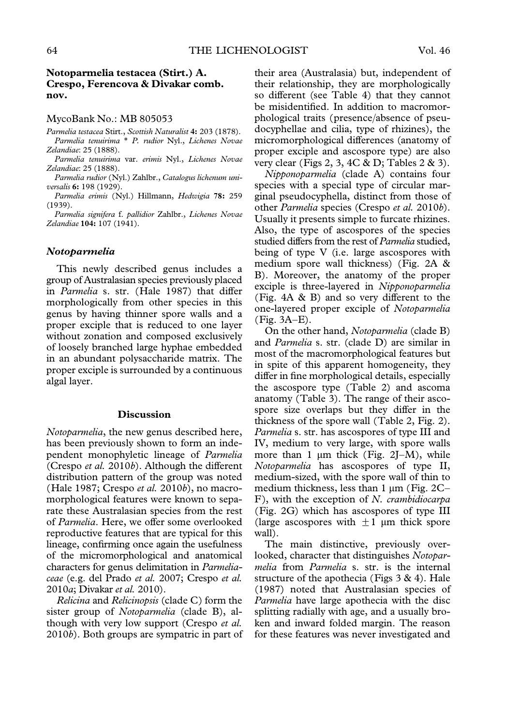### Notoparmelia testacea (Stirt.) A. Crespo, Ferencova & Divakar comb. nov.

#### MycoBank No.: MB 805053

Parmelia testacea Stirt., Scottish Naturalist 4: 203 (1878). Parmelia tenuirima \* P. rudior Nyl., Lichenes Novae

Zelandiae: 25 (1888). Parmelia tenuirima var. erimis Nyl., Lichenes Novae Zelandiae: 25 (1888).

Parmelia rudior (Nyl.) Zahlbr., Catalogus lichenum universalis **6:** 198 (1929).

Parmelia erimis (Nyl.) Hillmann, Hedwigia 78: 259 (1939).

Parmelia signifera f. pallidior Zahlbr., Lichenes Novae Zelandiae 104: 107 (1941).

#### Notoparmelia

This newly described genus includes a group of Australasian species previously placed in Parmelia s. str. (Hale 1987) that differ morphologically from other species in this genus by having thinner spore walls and a proper exciple that is reduced to one layer without zonation and composed exclusively of loosely branched large hyphae embedded in an abundant polysaccharide matrix. The proper exciple is surrounded by a continuous algal layer.

#### Discussion

Notoparmelia, the new genus described here, has been previously shown to form an independent monophyletic lineage of Parmelia (Crespo et al. 2010b). Although the different distribution pattern of the group was noted (Hale 1987; Crespo et al. 2010b), no macromorphological features were known to separate these Australasian species from the rest of Parmelia. Here, we offer some overlooked reproductive features that are typical for this lineage, confirming once again the usefulness of the micromorphological and anatomical characters for genus delimitation in Parmeliaceae (e.g. del Prado et al. 2007; Crespo et al. 2010a; Divakar et al. 2010).

Relicina and Relicinopsis (clade C) form the sister group of *Notoparmelia* (clade B), although with very low support (Crespo et al. 2010b). Both groups are sympatric in part of their area (Australasia) but, independent of their relationship, they are morphologically so different (see Table 4) that they cannot be misidentified. In addition to macromorphological traits (presence/absence of pseudocyphellae and cilia, type of rhizines), the micromorphological differences (anatomy of proper exciple and ascospore type) are also very clear (Figs 2, 3, 4C & D; Tables 2 & 3).

Nipponoparmelia (clade A) contains four species with a special type of circular marginal pseudocyphella, distinct from those of other Parmelia species (Crespo et al. 2010b). Usually it presents simple to furcate rhizines. Also, the type of ascospores of the species studied differs from the rest of Parmelia studied, being of type V (i.e. large ascospores with medium spore wall thickness) (Fig. 2A & B). Moreover, the anatomy of the proper exciple is three-layered in Nipponoparmelia (Fig. 4A & B) and so very different to the one-layered proper exciple of Notoparmelia (Fig. 3A–E).

On the other hand, Notoparmelia (clade B) and Parmelia s. str. (clade D) are similar in most of the macromorphological features but in spite of this apparent homogeneity, they differ in fine morphological details, especially the ascospore type (Table 2) and ascoma anatomy (Table 3). The range of their ascospore size overlaps but they differ in the thickness of the spore wall (Table 2, Fig. 2). Parmelia s. str. has ascospores of type III and IV, medium to very large, with spore walls more than 1  $\mu$ m thick (Fig. 2J–M), while Notoparmelia has ascospores of type II, medium-sized, with the spore wall of thin to medium thickness, less than 1  $\mu$ m (Fig. 2C– F), with the exception of N. crambidiocarpa (Fig. 2G) which has ascospores of type III (large ascospores with  $\pm 1$  µm thick spore wall).

The main distinctive, previously overlooked, character that distinguishes Notoparmelia from Parmelia s. str. is the internal structure of the apothecia (Figs  $3 \& 4$ ). Hale (1987) noted that Australasian species of Parmelia have large apothecia with the disc splitting radially with age, and a usually broken and inward folded margin. The reason for these features was never investigated and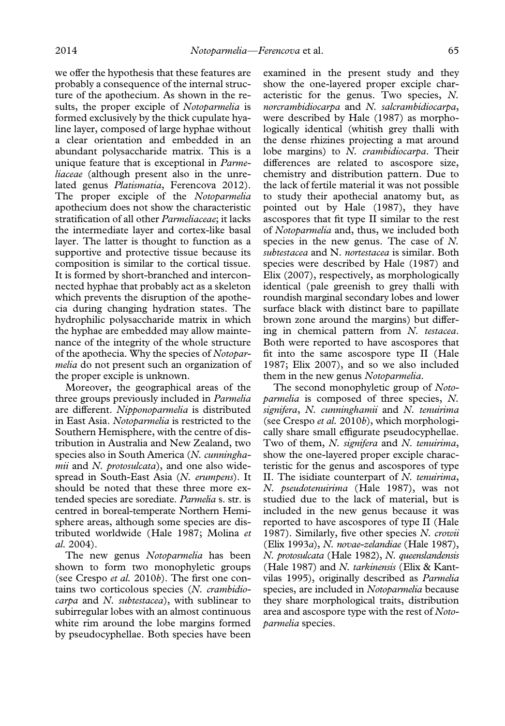we offer the hypothesis that these features are probably a consequence of the internal structure of the apothecium. As shown in the results, the proper exciple of Notoparmelia is formed exclusively by the thick cupulate hyaline layer, composed of large hyphae without a clear orientation and embedded in an abundant polysaccharide matrix. This is a unique feature that is exceptional in Parme*liaceae* (although present also in the unrelated genus Platismatia, Ferencova 2012). The proper exciple of the Notoparmelia apothecium does not show the characteristic stratification of all other *Parmeliaceae*; it lacks the intermediate layer and cortex-like basal layer. The latter is thought to function as a supportive and protective tissue because its composition is similar to the cortical tissue. It is formed by short-branched and interconnected hyphae that probably act as a skeleton which prevents the disruption of the apothecia during changing hydration states. The hydrophilic polysaccharide matrix in which the hyphae are embedded may allow maintenance of the integrity of the whole structure of the apothecia. Why the species of Notoparmelia do not present such an organization of the proper exciple is unknown.

Moreover, the geographical areas of the three groups previously included in Parmelia are different. Nipponoparmelia is distributed in East Asia. Notoparmelia is restricted to the Southern Hemisphere, with the centre of distribution in Australia and New Zealand, two species also in South America (N. *cunningha* $mi$  and  $N.$  protosulcata), and one also widespread in South-East Asia (N. erumpens). It should be noted that these three more extended species are sorediate. Parmelia s. str. is centred in boreal-temperate Northern Hemisphere areas, although some species are distributed worldwide (Hale 1987; Molina et al. 2004).

The new genus Notoparmelia has been shown to form two monophyletic groups (see Crespo et al. 2010b). The first one contains two corticolous species (N. crambidiocarpa and N. subtestacea), with sublinear to subirregular lobes with an almost continuous white rim around the lobe margins formed by pseudocyphellae. Both species have been

examined in the present study and they show the one-layered proper exciple characteristic for the genus. Two species, N. norcrambidiocarpa and N. salcrambidiocarpa, were described by Hale (1987) as morphologically identical (whitish grey thalli with the dense rhizines projecting a mat around lobe margins) to  $N$ . *crambidiocarpa*. Their differences are related to ascospore size, chemistry and distribution pattern. Due to the lack of fertile material it was not possible to study their apothecial anatomy but, as pointed out by Hale (1987), they have ascospores that fit type II similar to the rest of Notoparmelia and, thus, we included both species in the new genus. The case of N. subtestacea and N. nortestacea is similar. Both species were described by Hale (1987) and Elix (2007), respectively, as morphologically identical (pale greenish to grey thalli with roundish marginal secondary lobes and lower surface black with distinct bare to papillate brown zone around the margins) but differing in chemical pattern from N. testacea. Both were reported to have ascospores that fit into the same ascospore type II (Hale 1987; Elix 2007), and so we also included them in the new genus Notoparmelia.

The second monophyletic group of Notoparmelia is composed of three species, N. signifera, N. cunninghamii and N. tenuirima (see Crespo et al. 2010b), which morphologically share small effigurate pseudocyphellae. Two of them, N. signifera and N. tenuirima, show the one-layered proper exciple characteristic for the genus and ascospores of type II. The isidiate counterpart of  $N$ . tenuirima, N. pseudotenuirima (Hale 1987), was not studied due to the lack of material, but is included in the new genus because it was reported to have ascospores of type II (Hale 1987). Similarly, five other species N. crowii (Elix 1993a), N. novae-zelandiae (Hale 1987), N. protosulcata (Hale 1982), N. queenslandensis (Hale 1987) and N. tarkinensis (Elix  $&$  Kantvilas 1995), originally described as Parmelia species, are included in Notoparmelia because they share morphological traits, distribution area and ascospore type with the rest of Notoparmelia species.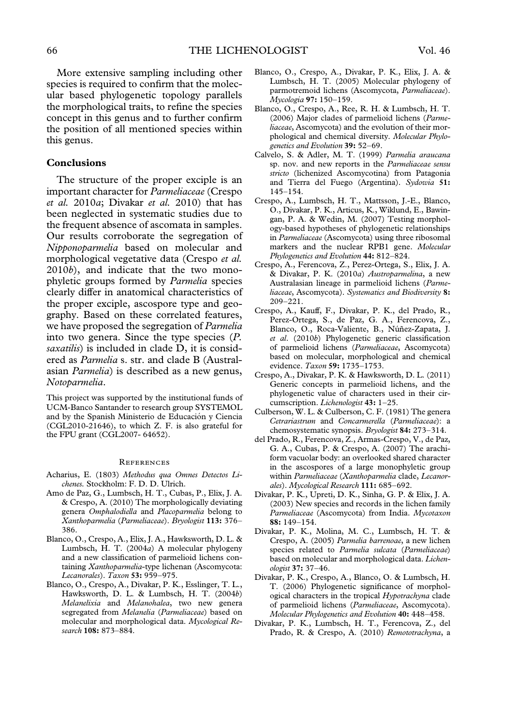More extensive sampling including other species is required to confirm that the molecular based phylogenetic topology parallels the morphological traits, to refine the species concept in this genus and to further confirm the position of all mentioned species within this genus.

#### Conclusions

The structure of the proper exciple is an important character for Parmeliaceae (Crespo et al. 2010a; Divakar et al. 2010) that has been neglected in systematic studies due to the frequent absence of ascomata in samples. Our results corroborate the segregation of Nipponoparmelia based on molecular and morphological vegetative data (Crespo et al. 2010b), and indicate that the two monophyletic groups formed by Parmelia species clearly differ in anatomical characteristics of the proper exciple, ascospore type and geography. Based on these correlated features, we have proposed the segregation of *Parmelia* into two genera. Since the type species (P. saxatilis) is included in clade D, it is considered as Parmelia s. str. and clade B (Australasian Parmelia) is described as a new genus, Notoparmelia.

This project was supported by the institutional funds of UCM-Banco Santander to research group SYSTEMOL and by the Spanish Ministerio de Educación y Ciencia (CGL2010-21646), to which Z. F. is also grateful for the FPU grant (CGL2007- 64652).

#### **REFERENCES**

- Acharius, E. (1803) Methodus qua Omnes Detectos Lichenes. Stockholm: F. D. D. Ulrich.
- Amo de Paz, G., Lumbsch, H. T., Cubas, P., Elix, J. A. & Crespo, A. (2010) The morphologically deviating genera Omphalodiella and Placoparmelia belong to Xanthoparmelia (Parmeliaceae). Bryologist 113: 376– 386.
- Blanco, O., Crespo, A., Elix, J. A., Hawksworth, D. L. & Lumbsch, H. T. (2004a) A molecular phylogeny and a new classification of parmelioid lichens containing Xanthoparmelia-type lichenan (Ascomycota: Lecanorales). Taxon 53: 959–975.
- Blanco, O., Crespo, A., Divakar, P. K., Esslinger, T. L., Hawksworth, D. L. & Lumbsch, H. T. (2004b) Melanelixia and Melanohalea, two new genera segregated from Melanelia (Parmeliaceae) based on molecular and morphological data. Mycological Research 108: 873–884.
- Blanco, O., Crespo, A., Divakar, P. K., Elix, J. A. & Lumbsch, H. T. (2005) Molecular phylogeny of parmotremoid lichens (Ascomycota, Parmeliaceae). Mycologia 97: 150–159.
- Blanco, O., Crespo, A., Ree, R. H. & Lumbsch, H. T. (2006) Major clades of parmelioid lichens (Parmeliaceae, Ascomycota) and the evolution of their morphological and chemical diversity. Molecular Phylogenetics and Evolution 39: 52–69.
- Calvelo, S. & Adler, M. T. (1999) Parmelia araucana sp. nov. and new reports in the Parmeliaceae sensu stricto (lichenized Ascomycotina) from Patagonia and Tierra del Fuego (Argentina). Sydowia 51: 145–154.
- Crespo, A., Lumbsch, H. T., Mattsson, J.-E., Blanco, O., Divakar, P. K., Articus, K., Wiklund, E., Bawingan, P. A. & Wedin, M. (2007) Testing morphology-based hypotheses of phylogenetic relationships in Parmeliaceae (Ascomycota) using three ribosomal markers and the nuclear RPB1 gene. Molecular Phylogenetics and Evolution 44: 812–824.
- Crespo, A., Ferencova, Z., Perez-Ortega, S., Elix, J. A. & Divakar, P. K. (2010a) Austroparmelina, a new Australasian lineage in parmelioid lichens (Parmeliaceae, Ascomycota). Systematics and Biodiversity 8: 209–221.
- Crespo, A., Kauff, F., Divakar, P. K., del Prado, R., Perez-Ortega, S., de Paz, G. A., Ferencova, Z., Blanco, O., Roca-Valiente, B., Núñez-Zapata, J. et al. (2010b) Phylogenetic generic classification of parmelioid lichens (Parmeliaceae, Ascomycota) based on molecular, morphological and chemical evidence. Taxon 59: 1735–1753.
- Crespo, A., Divakar, P. K. & Hawksworth, D. L. (2011) Generic concepts in parmelioid lichens, and the phylogenetic value of characters used in their circumscription. Lichenologist 43: 1-25.
- Culberson, W. L. & Culberson, C. F. (1981) The genera Cetrariastrum and Concarmerella (Parmeliaceae): a chemosystematic synopsis. Bryologist 84: 273–314.
- del Prado, R., Ferencova, Z., Armas-Crespo, V., de Paz, G. A., Cubas, P. & Crespo, A. (2007) The arachiform vacuolar body: an overlooked shared character in the ascospores of a large monophyletic group within Parmeliaceae (Xanthoparmelia clade, Lecanorales). Mycological Research 111: 685–692.
- Divakar, P. K., Upreti, D. K., Sinha, G. P. & Elix, J. A. (2003) New species and records in the lichen family Parmeliaceae (Ascomycota) from India. Mycotaxon 88: 149–154.
- Divakar, P. K., Molina, M. C., Lumbsch, H. T. & Crespo, A. (2005) Parmelia barrenoae, a new lichen species related to Parmelia sulcata (Parmeliaceae) based on molecular and morphological data. Lichenologist 37: 37–46.
- Divakar, P. K., Crespo, A., Blanco, O. & Lumbsch, H. T. (2006) Phylogenetic significance of morphological characters in the tropical Hypotrachyna clade of parmelioid lichens (Parmeliaceae, Ascomycota). Molecular Phylogenetics and Evolution 40: 448–458.
- Divakar, P. K., Lumbsch, H. T., Ferencova, Z., del Prado, R. & Crespo, A. (2010) Remototrachyna, a